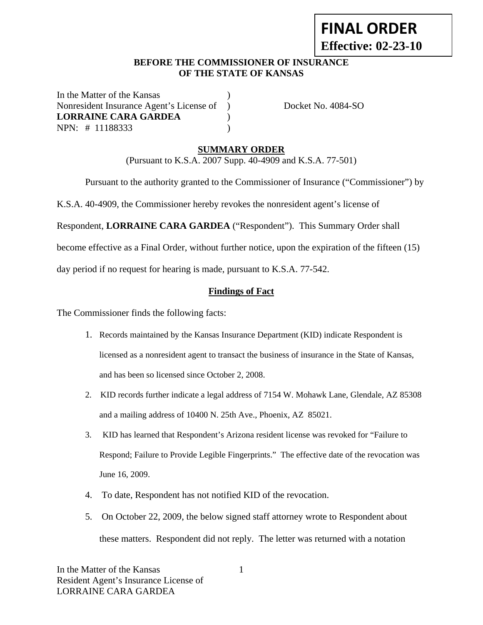# **FINAL ORDER Effective: 02-23-10**

## **BEFORE THE COMMISSIONER OF INSURANCE OF THE STATE OF KANSAS**

In the Matter of the Kansas Nonresident Insurance Agent's License of ) Docket No. 4084-SO **LORRAINE CARA GARDEA** ) NPN: # 11188333 )

# **SUMMARY ORDER**

(Pursuant to K.S.A. 2007 Supp. 40-4909 and K.S.A. 77-501)

Pursuant to the authority granted to the Commissioner of Insurance ("Commissioner") by

K.S.A. 40-4909, the Commissioner hereby revokes the nonresident agent's license of

Respondent, **LORRAINE CARA GARDEA** ("Respondent"). This Summary Order shall

become effective as a Final Order, without further notice, upon the expiration of the fifteen (15)

day period if no request for hearing is made, pursuant to K.S.A. 77-542.

## **Findings of Fact**

The Commissioner finds the following facts:

- 1. Records maintained by the Kansas Insurance Department (KID) indicate Respondent is licensed as a nonresident agent to transact the business of insurance in the State of Kansas, and has been so licensed since October 2, 2008.
- 2. KID records further indicate a legal address of 7154 W. Mohawk Lane, Glendale, AZ 85308 and a mailing address of 10400 N. 25th Ave., Phoenix, AZ 85021.
- 3. KID has learned that Respondent's Arizona resident license was revoked for "Failure to Respond; Failure to Provide Legible Fingerprints." The effective date of the revocation was June 16, 2009.
- 4. To date, Respondent has not notified KID of the revocation.
- 5. On October 22, 2009, the below signed staff attorney wrote to Respondent about these matters. Respondent did not reply. The letter was returned with a notation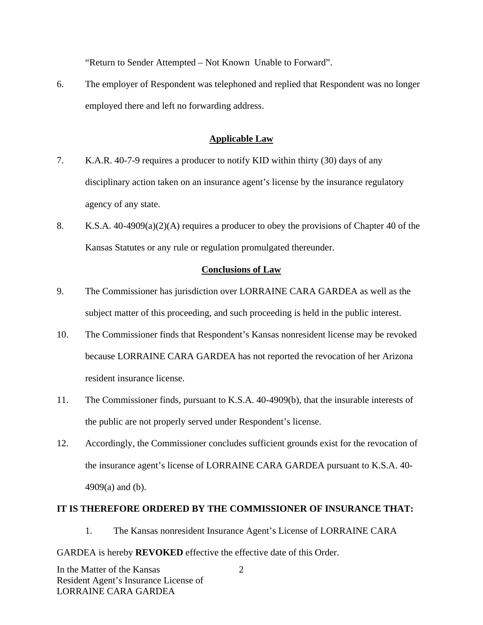"Return to Sender Attempted – Not Known Unable to Forward".

6. The employer of Respondent was telephoned and replied that Respondent was no longer employed there and left no forwarding address.

## **Applicable Law**

- 7. K.A.R. 40-7-9 requires a producer to notify KID within thirty (30) days of any disciplinary action taken on an insurance agent's license by the insurance regulatory agency of any state.
- 8. K.S.A. 40-4909(a)(2)(A) requires a producer to obey the provisions of Chapter 40 of the Kansas Statutes or any rule or regulation promulgated thereunder.

### **Conclusions of Law**

- 9. The Commissioner has jurisdiction over LORRAINE CARA GARDEA as well as the subject matter of this proceeding, and such proceeding is held in the public interest.
- 10. The Commissioner finds that Respondent's Kansas nonresident license may be revoked because LORRAINE CARA GARDEA has not reported the revocation of her Arizona resident insurance license.
- 11. The Commissioner finds, pursuant to K.S.A. 40-4909(b), that the insurable interests of the public are not properly served under Respondent's license.
- 12. Accordingly, the Commissioner concludes sufficient grounds exist for the revocation of the insurance agent's license of LORRAINE CARA GARDEA pursuant to K.S.A. 40- 4909(a) and (b).

#### **IT IS THEREFORE ORDERED BY THE COMMISSIONER OF INSURANCE THAT:**

1. The Kansas nonresident Insurance Agent's License of LORRAINE CARA

#### GARDEA is hereby **REVOKED** effective the effective date of this Order.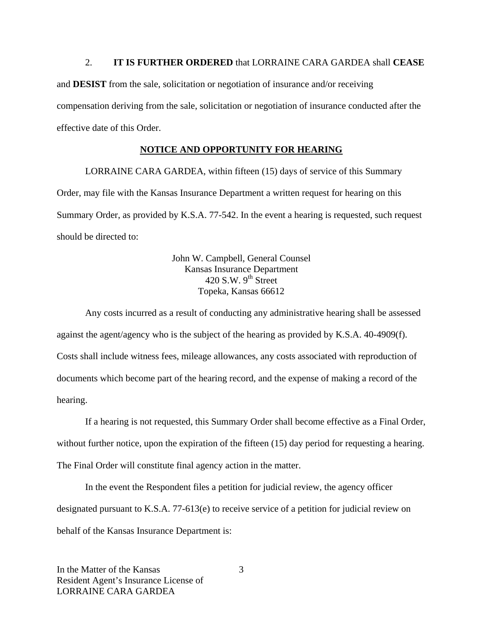#### 2. **IT IS FURTHER ORDERED** that LORRAINE CARA GARDEA shall **CEASE**

and **DESIST** from the sale, solicitation or negotiation of insurance and/or receiving compensation deriving from the sale, solicitation or negotiation of insurance conducted after the effective date of this Order.

#### **NOTICE AND OPPORTUNITY FOR HEARING**

LORRAINE CARA GARDEA, within fifteen (15) days of service of this Summary Order, may file with the Kansas Insurance Department a written request for hearing on this Summary Order, as provided by K.S.A. 77-542. In the event a hearing is requested, such request should be directed to:

> John W. Campbell, General Counsel Kansas Insurance Department 420 S.W.  $9^{th}$  Street Topeka, Kansas 66612

Any costs incurred as a result of conducting any administrative hearing shall be assessed against the agent/agency who is the subject of the hearing as provided by K.S.A. 40-4909(f). Costs shall include witness fees, mileage allowances, any costs associated with reproduction of documents which become part of the hearing record, and the expense of making a record of the hearing.

If a hearing is not requested, this Summary Order shall become effective as a Final Order, without further notice, upon the expiration of the fifteen (15) day period for requesting a hearing. The Final Order will constitute final agency action in the matter.

In the event the Respondent files a petition for judicial review, the agency officer designated pursuant to K.S.A. 77-613(e) to receive service of a petition for judicial review on behalf of the Kansas Insurance Department is: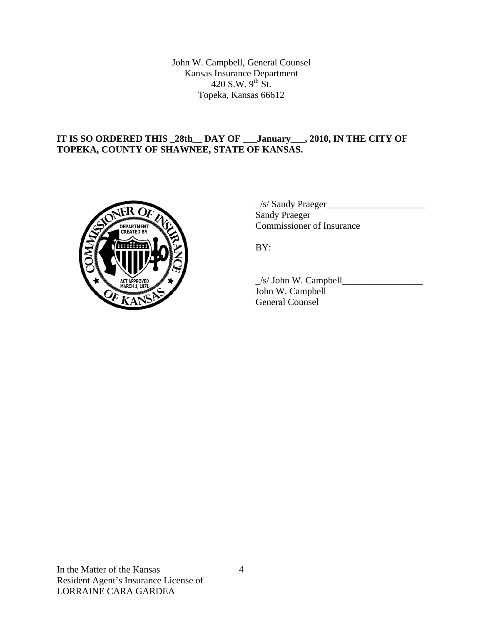John W. Campbell, General Counsel Kansas Insurance Department 420 S.W.  $9^{th}$  St. Topeka, Kansas 66612

## **IT IS SO ORDERED THIS \_28th\_\_ DAY OF \_\_\_January\_\_\_, 2010, IN THE CITY OF TOPEKA, COUNTY OF SHAWNEE, STATE OF KANSAS.**



 $\angle$ s/ Sandy Praeger $\angle$  Sandy Praeger COMMISSIONER COMMISSIONER OF Insurance

 $\angle$ s/ John W. Campbell $\angle$  John W. Campbell General Counsel